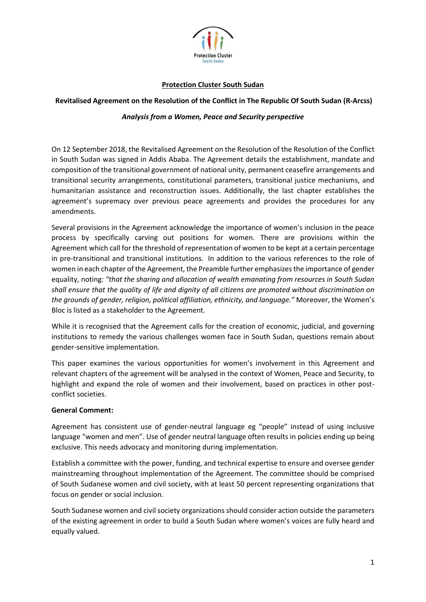

# **Protection Cluster South Sudan**

### **Revitalised Agreement on the Resolution of the Conflict in The Republic Of South Sudan (R-Arcss)**

### *Analysis from a Women, Peace and Security perspective*

On 12 September 2018, the Revitalised Agreement on the Resolution of the Resolution of the Conflict in South Sudan was signed in Addis Ababa. The Agreement details the establishment, mandate and composition of the transitional government of national unity, permanent ceasefire arrangements and transitional security arrangements, constitutional parameters, transitional justice mechanisms, and humanitarian assistance and reconstruction issues. Additionally, the last chapter establishes the agreement's supremacy over previous peace agreements and provides the procedures for any amendments.

Several provisions in the Agreement acknowledge the importance of women's inclusion in the peace process by specifically carving out positions for women. There are provisions within the Agreement which call for the threshold of representation of women to be kept at a certain percentage in pre-transitional and transitional institutions. In addition to the various references to the role of women in each chapter of the Agreement, the Preamble further emphasizes the importance of gender equality, noting*: "that the sharing and allocation of wealth emanating from resources in South Sudan shall ensure that the quality of life and dignity of all citizens are promoted without discrimination on the grounds of gender, religion, political affiliation, ethnicity, and language."* Moreover, the Women's Bloc is listed as a stakeholder to the Agreement.

While it is recognised that the Agreement calls for the creation of economic, judicial, and governing institutions to remedy the various challenges women face in South Sudan, questions remain about gender-sensitive implementation.

This paper examines the various opportunities for women's involvement in this Agreement and relevant chapters of the agreement will be analysed in the context of Women, Peace and Security, to highlight and expand the role of women and their involvement, based on practices in other postconflict societies.

### **General Comment:**

Agreement has consistent use of gender-neutral language eg "people" instead of using inclusive language "women and men". Use of gender neutral language often results in policies ending up being exclusive. This needs advocacy and monitoring during implementation.

Establish a committee with the power, funding, and technical expertise to ensure and oversee gender mainstreaming throughout implementation of the Agreement. The committee should be comprised of South Sudanese women and civil society, with at least 50 percent representing organizations that focus on gender or social inclusion.

South Sudanese women and civil society organizations should consider action outside the parameters of the existing agreement in order to build a South Sudan where women's voices are fully heard and equally valued.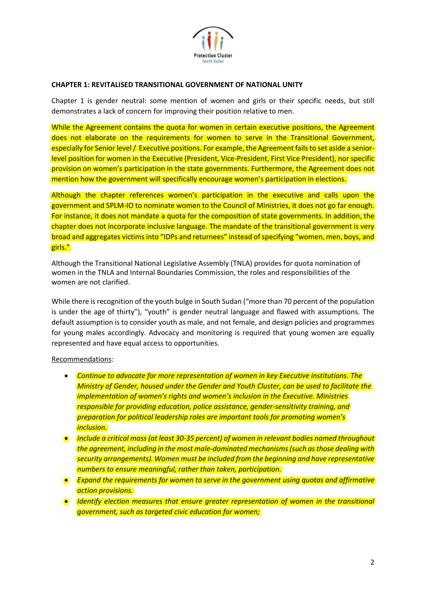

# **CHAPTER 1: REVITALISED TRANSITIONAL GOVERNMENT OF NATIONAL UNITY**

Chapter 1 is gender neutral: some mention of women and girls or their specific needs, but still demonstrates a lack of concern for improving their position relative to men.

While the Agreement contains the quota for women in certain executive positions, the Agreement does not elaborate on the requirements for women to serve in the Transitional Government, especially for Senior level / Executive positions. For example, the Agreement fails to set aside a seniorlevel position for women in the Executive (President, Vice-President, First Vice President), nor specific provision on women's participation in the state governments. Furthermore, the Agreement does not mention how the government will specifically encourage women's participation in elections.

Although the chapter references women's participation in the executive and calls upon the government and SPLM-IO to nominate women to the Council of Ministries, it does not go far enough. For instance, it does not mandate a quota for the composition of state governments. In addition, the chapter does not incorporate inclusive language. The mandate of the transitional government is very broad and aggregates victims into "IDPs and returnees" instead of specifying "women, men, boys, and girls."

Although the Transitional National Legislative Assembly (TNLA) provides for quota nomination of women in the TNLA and Internal Boundaries Commission, the roles and responsibilities of the women are not clarified.

While there is recognition of the youth bulge in South Sudan ("more than 70 percent of the population is under the age of thirty"), "youth" is gender neutral language and flawed with assumptions. The default assumption is to consider youth as male, and not female, and design policies and programmes for young males accordingly. Advocacy and monitoring is required that young women are equally represented and have equal access to opportunities.

### Recommendations:

- **•** Continue to advocate for more representation of women in key Executive institutions. The *Ministry of Gender, housed under the Gender and Youth Cluster, can be used to facilitate the implementation of women's rights and women's inclusion in the Executive. Ministries responsible for providing education, police assistance, gender-sensitivity training, and preparation for political leadership roles are important tools for promoting women's inclusion.*
- *Include a critical mass (at least 30-35 percent) of women in relevant bodies named throughout the agreement, including in the most male-dominated mechanisms (such as those dealing with security arrangements). Women must be included from the beginning and have representative numbers to ensure meaningful, rather than token, participation.*
- *Expand the requirements for women to serve in the government using quotas and affirmative action provisions.*
- *Identify election measures that ensure greater representation of women in the transitional government, such as targeted civic education for women;*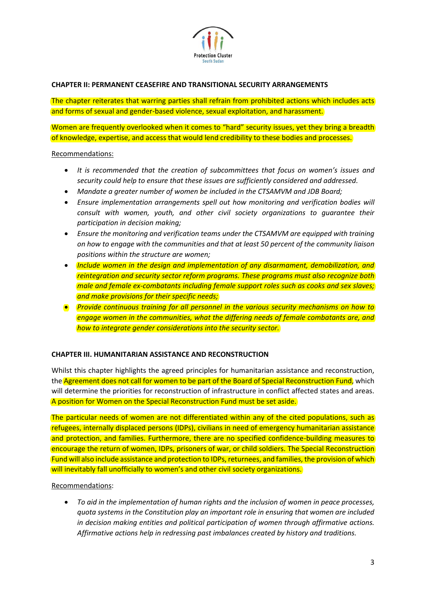

# **CHAPTER II: PERMANENT CEASEFIRE AND TRANSITIONAL SECURITY ARRANGEMENTS**

The chapter reiterates that warring parties shall refrain from prohibited actions which includes acts and forms of sexual and gender-based violence, sexual exploitation, and harassment.

Women are frequently overlooked when it comes to "hard" security issues, yet they bring a breadth of knowledge, expertise, and access that would lend credibility to these bodies and processes.

### Recommendations:

- It is recommended that the creation of subcommittees that focus on women's issues and *security could help to ensure that these issues are sufficiently considered and addressed.*
- *Mandate a greater number of women be included in the CTSAMVM and JDB Board;*
- *Ensure implementation arrangements spell out how monitoring and verification bodies will consult with women, youth, and other civil society organizations to guarantee their participation in decision making;*
- *Ensure the monitoring and verification teams under the CTSAMVM are equipped with training on how to engage with the communities and that at least 50 percent of the community liaison positions within the structure are women;*
- *Include women in the design and implementation of any disarmament, demobilization, and reintegration and security sector reform programs. These programs must also recognize both male and female ex-combatants including female support roles such as cooks and sex slaves; and make provisions for their specific needs;*
- *Provide continuous training for all personnel in the various security mechanisms on how to engage women in the communities, what the differing needs of female combatants are, and how to integrate gender considerations into the security sector.*

### **CHAPTER III. HUMANITARIAN ASSISTANCE AND RECONSTRUCTION**

Whilst this chapter highlights the agreed principles for humanitarian assistance and reconstruction, the Agreement does not call for women to be part of the Board of Special Reconstruction Fund, which will determine the priorities for reconstruction of infrastructure in conflict affected states and areas. A position for Women on the Special Reconstruction Fund must be set aside.

The particular needs of women are not differentiated within any of the cited populations, such as refugees, internally displaced persons (IDPs), civilians in need of emergency humanitarian assistance and protection, and families. Furthermore, there are no specified confidence-building measures to encourage the return of women, IDPs, prisoners of war, or child soldiers. The Special Reconstruction Fund will also include assistance and protection to IDPs, returnees, and families, the provision of which will inevitably fall unofficially to women's and other civil society organizations.

### Recommendations:

 *To aid in the implementation of human rights and the inclusion of women in peace processes, quota systems in the Constitution play an important role in ensuring that women are included in decision making entities and political participation of women through affirmative actions. Affirmative actions help in redressing past imbalances created by history and traditions.*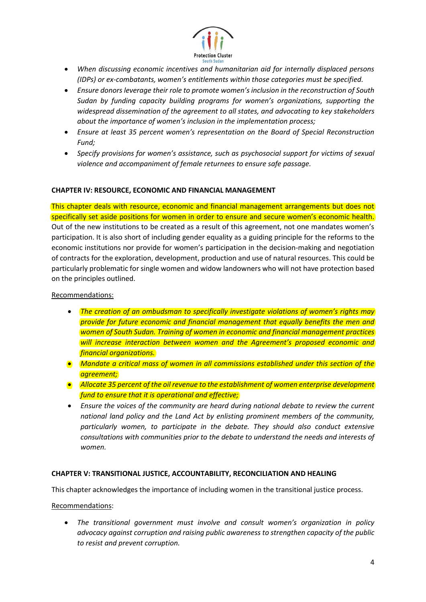

- *When discussing economic incentives and humanitarian aid for internally displaced persons (IDPs) or ex-combatants, women's entitlements within those categories must be specified.*
- *Ensure donors leverage their role to promote women's inclusion in the reconstruction of South Sudan by funding capacity building programs for women's organizations, supporting the widespread dissemination of the agreement to all states, and advocating to key stakeholders about the importance of women's inclusion in the implementation process;*
- *Ensure at least 35 percent women's representation on the Board of Special Reconstruction Fund;*
- *Specify provisions for women's assistance, such as psychosocial support for victims of sexual violence and accompaniment of female returnees to ensure safe passage.*

### **CHAPTER IV: RESOURCE, ECONOMIC AND FINANCIAL MANAGEMENT**

This chapter deals with resource, economic and financial management arrangements but does not specifically set aside positions for women in order to ensure and secure women's economic health. Out of the new institutions to be created as a result of this agreement, not one mandates women's participation. It is also short of including gender equality as a guiding principle for the reforms to the economic institutions nor provide for women's participation in the decision-making and negotiation of contracts for the exploration, development, production and use of natural resources. This could be particularly problematic for single women and widow landowners who will not have protection based on the principles outlined.

### Recommendations:

- *The creation of an ombudsman to specifically investigate violations of women's rights may provide for future economic and financial management that equally benefits the men and women of South Sudan. Training of women in economic and financial management practices will increase interaction between women and the Agreement's proposed economic and financial organizations.*
- *Mandate a critical mass of women in all commissions established under this section of the agreement;*
- *Allocate 35 percent of the oil revenue to the establishment of women enterprise development fund to ensure that it is operational and effective;*
- *Ensure the voices of the community are heard during national debate to review the current national land policy and the Land Act by enlisting prominent members of the community, particularly women, to participate in the debate. They should also conduct extensive consultations with communities prior to the debate to understand the needs and interests of women.*

### **CHAPTER V: TRANSITIONAL JUSTICE, ACCOUNTABILITY, RECONCILIATION AND HEALING**

This chapter acknowledges the importance of including women in the transitional justice process.

### Recommendations:

 *The transitional government must involve and consult women's organization in policy advocacy against corruption and raising public awareness to strengthen capacity of the public to resist and prevent corruption.*